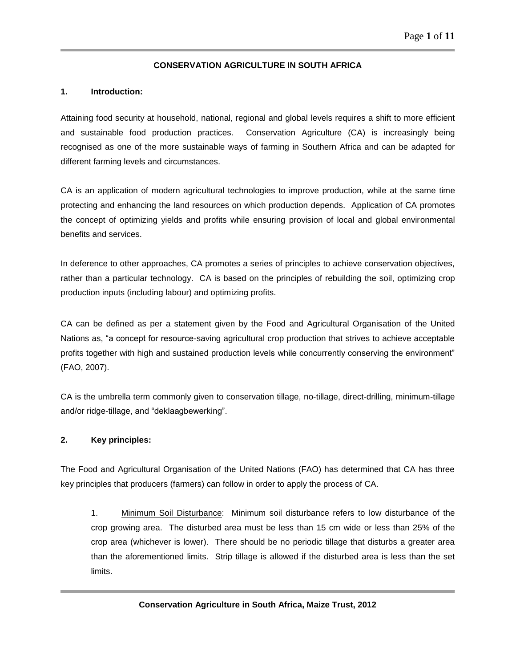### **CONSERVATION AGRICULTURE IN SOUTH AFRICA**

#### **1. Introduction:**

Attaining food security at household, national, regional and global levels requires a shift to more efficient and sustainable food production practices. Conservation Agriculture (CA) is increasingly being recognised as one of the more sustainable ways of farming in Southern Africa and can be adapted for different farming levels and circumstances.

CA is an application of modern agricultural technologies to improve production, while at the same time protecting and enhancing the land resources on which production depends. Application of CA promotes the concept of optimizing yields and profits while ensuring provision of local and global environmental benefits and services.

In deference to other approaches, CA promotes a series of principles to achieve conservation objectives, rather than a particular technology. CA is based on the principles of rebuilding the soil, optimizing crop production inputs (including labour) and optimizing profits.

CA can be defined as per a statement given by the Food and Agricultural Organisation of the United Nations as, "a concept for resource-saving agricultural crop production that strives to achieve acceptable profits together with high and sustained production levels while concurrently conserving the environment" (FAO, 2007).

CA is the umbrella term commonly given to conservation tillage, no-tillage, direct-drilling, minimum-tillage and/or ridge-tillage, and "deklaagbewerking".

#### **2. Key principles:**

The Food and Agricultural Organisation of the United Nations (FAO) has determined that CA has three key principles that producers (farmers) can follow in order to apply the process of CA.

1. Minimum Soil Disturbance: Minimum soil disturbance refers to low disturbance of the crop growing area. The disturbed area must be less than 15 cm wide or less than 25% of the crop area (whichever is lower). There should be no periodic tillage that disturbs a greater area than the aforementioned limits. Strip tillage is allowed if the disturbed area is less than the set limits.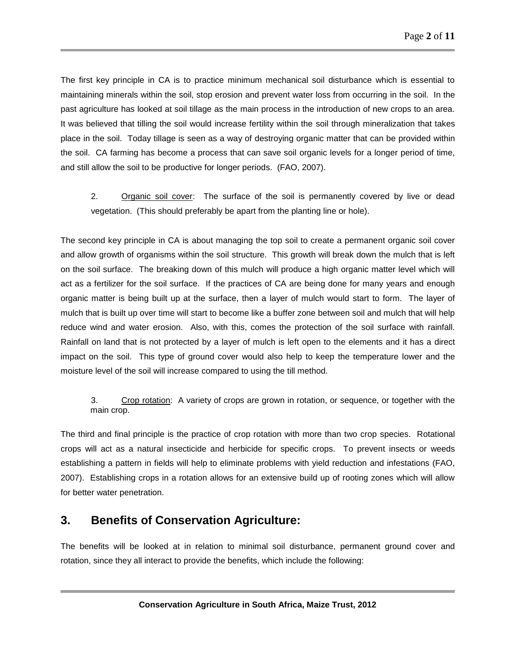The first key principle in CA is to practice minimum mechanical soil disturbance which is essential to maintaining minerals within the soil, stop erosion and prevent water loss from occurring in the soil. In the past agriculture has looked at soil tillage as the main process in the introduction of new crops to an area. It was believed that tilling the soil would increase fertility within the soil through mineralization that takes place in the soil. Today tillage is seen as a way of destroying organic matter that can be provided within the soil. CA farming has become a process that can save soil organic levels for a longer period of time, and still allow the soil to be productive for longer periods. (FAO, 2007).

2. Organic soil cover: The surface of the soil is permanently covered by live or dead vegetation. (This should preferably be apart from the planting line or hole).

The second key principle in CA is about managing the top soil to create a permanent organic soil cover and allow growth of organisms within the soil structure. This growth will break down the mulch that is left on the soil surface. The breaking down of this mulch will produce a high organic matter level which will act as a fertilizer for the soil surface. If the practices of CA are being done for many years and enough organic matter is being built up at the surface, then a layer of mulch would start to form. The layer of mulch that is built up over time will start to become like a buffer zone between soil and mulch that will help reduce wind and water erosion. Also, with this, comes the protection of the soil surface with rainfall. Rainfall on land that is not protected by a layer of mulch is left open to the elements and it has a direct impact on the soil. This type of ground cover would also help to keep the temperature lower and the moisture level of the soil will increase compared to using the till method.

### 3. Crop rotation: A variety of crops are grown in rotation, or sequence, or together with the main crop.

The third and final principle is the practice of crop rotation with more than two crop species. Rotational crops will act as a natural insecticide and herbicide for specific crops. To prevent insects or weeds establishing a pattern in fields will help to eliminate problems with yield reduction and infestations (FAO, 2007). Establishing crops in a rotation allows for an extensive build up of rooting zones which will allow for better water penetration.

# **3. Benefits of Conservation Agriculture:**

The benefits will be looked at in relation to minimal soil disturbance, permanent ground cover and rotation, since they all interact to provide the benefits, which include the following: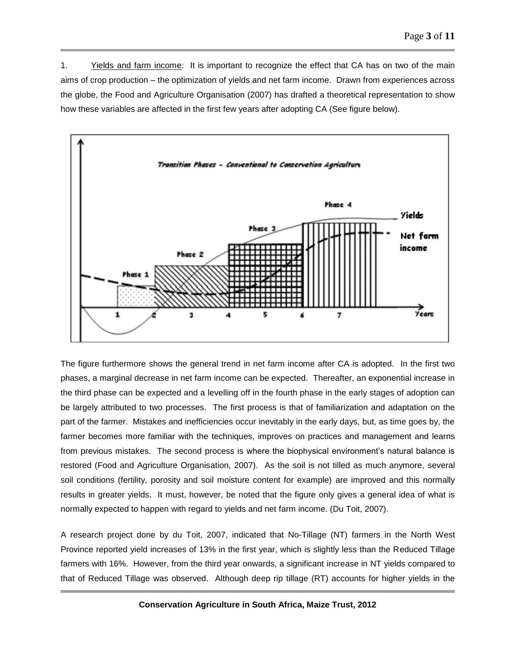1. Yields and farm income: It is important to recognize the effect that CA has on two of the main aims of crop production – the optimization of yields and net farm income. Drawn from experiences across the globe, the Food and Agriculture Organisation (2007) has drafted a theoretical representation to show how these variables are affected in the first few years after adopting CA (See figure below).



The figure furthermore shows the general trend in net farm income after CA is adopted. In the first two phases, a marginal decrease in net farm income can be expected. Thereafter, an exponential increase in the third phase can be expected and a levelling off in the fourth phase in the early stages of adoption can be largely attributed to two processes. The first process is that of familiarization and adaptation on the part of the farmer. Mistakes and inefficiencies occur inevitably in the early days, but, as time goes by, the farmer becomes more familiar with the techniques, improves on practices and management and learns from previous mistakes. The second process is where the biophysical environment's natural balance is restored (Food and Agriculture Organisation, 2007). As the soil is not tilled as much anymore, several soil conditions (fertility, porosity and soil moisture content for example) are improved and this normally results in greater yields. It must, however, be noted that the figure only gives a general idea of what is normally expected to happen with regard to yields and net farm income. (Du Toit, 2007).

A research project done by du Toit, 2007, indicated that No-Tillage (NT) farmers in the North West Province reported yield increases of 13% in the first year, which is slightly less than the Reduced Tillage farmers with 16%. However, from the third year onwards, a significant increase in NT yields compared to that of Reduced Tillage was observed. Although deep rip tillage (RT) accounts for higher yields in the

**Conservation Agriculture in South Africa, Maize Trust, 2012**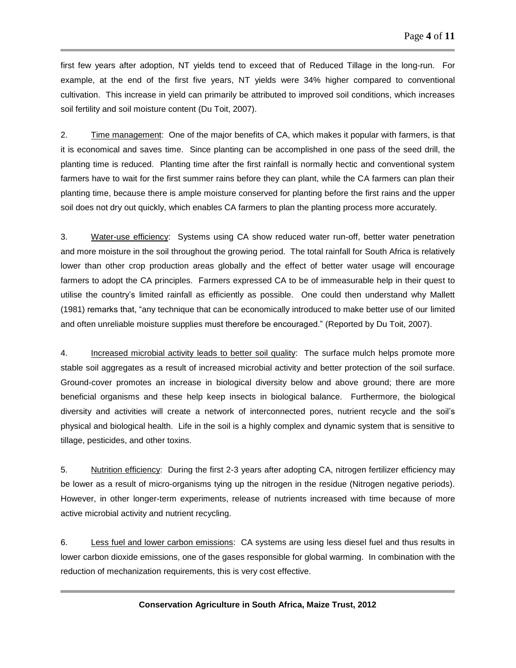first few years after adoption, NT yields tend to exceed that of Reduced Tillage in the long-run. For example, at the end of the first five years, NT yields were 34% higher compared to conventional cultivation. This increase in yield can primarily be attributed to improved soil conditions, which increases soil fertility and soil moisture content (Du Toit, 2007).

2. Time management: One of the major benefits of CA, which makes it popular with farmers, is that it is economical and saves time. Since planting can be accomplished in one pass of the seed drill, the planting time is reduced. Planting time after the first rainfall is normally hectic and conventional system farmers have to wait for the first summer rains before they can plant, while the CA farmers can plan their planting time, because there is ample moisture conserved for planting before the first rains and the upper soil does not dry out quickly, which enables CA farmers to plan the planting process more accurately.

3. Water-use efficiency: Systems using CA show reduced water run-off, better water penetration and more moisture in the soil throughout the growing period. The total rainfall for South Africa is relatively lower than other crop production areas globally and the effect of better water usage will encourage farmers to adopt the CA principles. Farmers expressed CA to be of immeasurable help in their quest to utilise the country's limited rainfall as efficiently as possible. One could then understand why Mallett (1981) remarks that, "any technique that can be economically introduced to make better use of our limited and often unreliable moisture supplies must therefore be encouraged." (Reported by Du Toit, 2007).

4. Increased microbial activity leads to better soil quality: The surface mulch helps promote more stable soil aggregates as a result of increased microbial activity and better protection of the soil surface. Ground-cover promotes an increase in biological diversity below and above ground; there are more beneficial organisms and these help keep insects in biological balance. Furthermore, the biological diversity and activities will create a network of interconnected pores, nutrient recycle and the soil's physical and biological health. Life in the soil is a highly complex and dynamic system that is sensitive to tillage, pesticides, and other toxins.

5. Nutrition efficiency: During the first 2-3 years after adopting CA, nitrogen fertilizer efficiency may be lower as a result of micro-organisms tying up the nitrogen in the residue (Nitrogen negative periods). However, in other longer-term experiments, release of nutrients increased with time because of more active microbial activity and nutrient recycling.

6. Less fuel and lower carbon emissions: CA systems are using less diesel fuel and thus results in lower carbon dioxide emissions, one of the gases responsible for global warming. In combination with the reduction of mechanization requirements, this is very cost effective.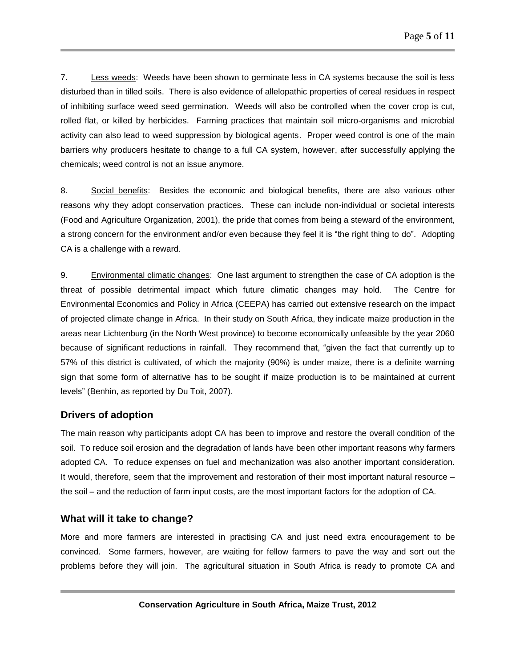7. Less weeds: Weeds have been shown to germinate less in CA systems because the soil is less disturbed than in tilled soils. There is also evidence of allelopathic properties of cereal residues in respect of inhibiting surface weed seed germination. Weeds will also be controlled when the cover crop is cut, rolled flat, or killed by herbicides. Farming practices that maintain soil micro-organisms and microbial activity can also lead to weed suppression by biological agents. Proper weed control is one of the main barriers why producers hesitate to change to a full CA system, however, after successfully applying the chemicals; weed control is not an issue anymore.

8. Social benefits: Besides the economic and biological benefits, there are also various other reasons why they adopt conservation practices. These can include non-individual or societal interests (Food and Agriculture Organization, 2001), the pride that comes from being a steward of the environment, a strong concern for the environment and/or even because they feel it is "the right thing to do". Adopting CA is a challenge with a reward.

9. Environmental climatic changes: One last argument to strengthen the case of CA adoption is the threat of possible detrimental impact which future climatic changes may hold. The Centre for Environmental Economics and Policy in Africa (CEEPA) has carried out extensive research on the impact of projected climate change in Africa. In their study on South Africa, they indicate maize production in the areas near Lichtenburg (in the North West province) to become economically unfeasible by the year 2060 because of significant reductions in rainfall. They recommend that, "given the fact that currently up to 57% of this district is cultivated, of which the majority (90%) is under maize, there is a definite warning sign that some form of alternative has to be sought if maize production is to be maintained at current levels" (Benhin, as reported by Du Toit, 2007).

### **Drivers of adoption**

The main reason why participants adopt CA has been to improve and restore the overall condition of the soil. To reduce soil erosion and the degradation of lands have been other important reasons why farmers adopted CA. To reduce expenses on fuel and mechanization was also another important consideration. It would, therefore, seem that the improvement and restoration of their most important natural resource – the soil – and the reduction of farm input costs, are the most important factors for the adoption of CA.

### **What will it take to change?**

More and more farmers are interested in practising CA and just need extra encouragement to be convinced. Some farmers, however, are waiting for fellow farmers to pave the way and sort out the problems before they will join. The agricultural situation in South Africa is ready to promote CA and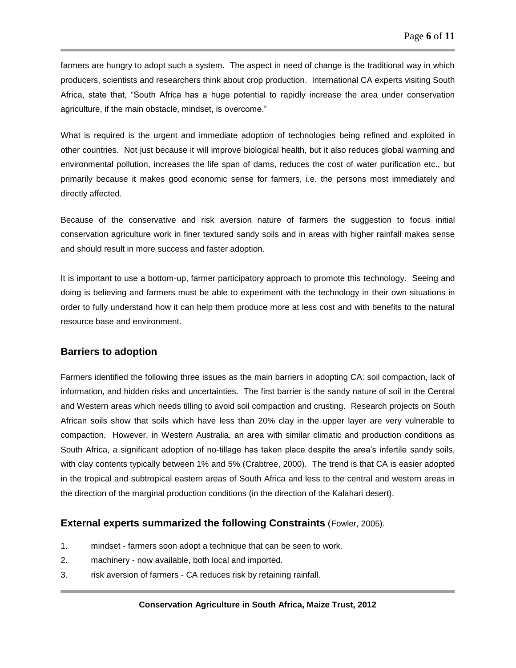farmers are hungry to adopt such a system. The aspect in need of change is the traditional way in which producers, scientists and researchers think about crop production. International CA experts visiting South Africa, state that, "South Africa has a huge potential to rapidly increase the area under conservation agriculture, if the main obstacle, mindset, is overcome."

What is required is the urgent and immediate adoption of technologies being refined and exploited in other countries. Not just because it will improve biological health, but it also reduces global warming and environmental pollution, increases the life span of dams, reduces the cost of water purification etc., but primarily because it makes good economic sense for farmers, i.e. the persons most immediately and directly affected.

Because of the conservative and risk aversion nature of farmers the suggestion to focus initial conservation agriculture work in finer textured sandy soils and in areas with higher rainfall makes sense and should result in more success and faster adoption.

It is important to use a bottom-up, farmer participatory approach to promote this technology. Seeing and doing is believing and farmers must be able to experiment with the technology in their own situations in order to fully understand how it can help them produce more at less cost and with benefits to the natural resource base and environment.

### **Barriers to adoption**

Farmers identified the following three issues as the main barriers in adopting CA: soil compaction, lack of information, and hidden risks and uncertainties. The first barrier is the sandy nature of soil in the Central and Western areas which needs tilling to avoid soil compaction and crusting. Research projects on South African soils show that soils which have less than 20% clay in the upper layer are very vulnerable to compaction. However, in Western Australia, an area with similar climatic and production conditions as South Africa, a significant adoption of no-tillage has taken place despite the area's infertile sandy soils, with clay contents typically between 1% and 5% (Crabtree, 2000). The trend is that CA is easier adopted in the tropical and subtropical eastern areas of South Africa and less to the central and western areas in the direction of the marginal production conditions (in the direction of the Kalahari desert).

#### **External experts summarized the following Constraints** (Fowler, 2005).

- 1. mindset farmers soon adopt a technique that can be seen to work.
- 2. machinery now available, both local and imported.
- 3. risk aversion of farmers CA reduces risk by retaining rainfall.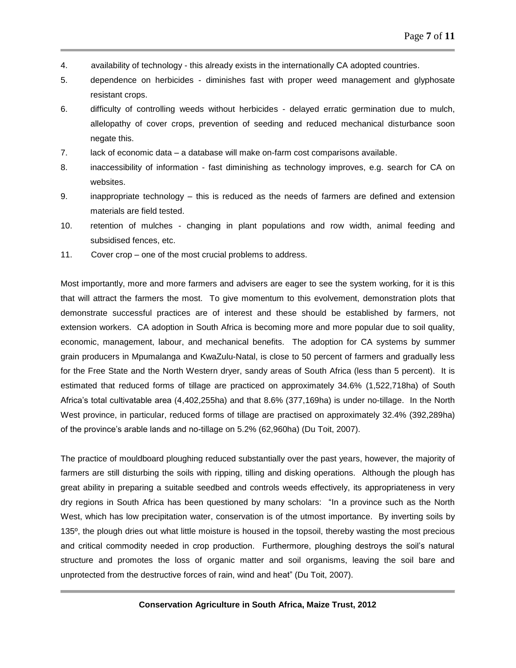- 4. availability of technology this already exists in the internationally CA adopted countries.
- 5. dependence on herbicides diminishes fast with proper weed management and glyphosate resistant crops.
- 6. difficulty of controlling weeds without herbicides delayed erratic germination due to mulch, allelopathy of cover crops, prevention of seeding and reduced mechanical disturbance soon negate this.
- 7. lack of economic data a database will make on-farm cost comparisons available.
- 8. inaccessibility of information fast diminishing as technology improves, e.g. search for CA on websites.
- 9. inappropriate technology this is reduced as the needs of farmers are defined and extension materials are field tested.
- 10. retention of mulches changing in plant populations and row width, animal feeding and subsidised fences, etc.
- 11. Cover crop one of the most crucial problems to address.

Most importantly, more and more farmers and advisers are eager to see the system working, for it is this that will attract the farmers the most. To give momentum to this evolvement, demonstration plots that demonstrate successful practices are of interest and these should be established by farmers, not extension workers. CA adoption in South Africa is becoming more and more popular due to soil quality, economic, management, labour, and mechanical benefits. The adoption for CA systems by summer grain producers in Mpumalanga and KwaZulu-Natal, is close to 50 percent of farmers and gradually less for the Free State and the North Western dryer, sandy areas of South Africa (less than 5 percent). It is estimated that reduced forms of tillage are practiced on approximately 34.6% (1,522,718ha) of South Africa's total cultivatable area (4,402,255ha) and that 8.6% (377,169ha) is under no-tillage. In the North West province, in particular, reduced forms of tillage are practised on approximately 32.4% (392,289ha) of the province's arable lands and no-tillage on 5.2% (62,960ha) (Du Toit, 2007).

The practice of mouldboard ploughing reduced substantially over the past years, however, the majority of farmers are still disturbing the soils with ripping, tilling and disking operations. Although the plough has great ability in preparing a suitable seedbed and controls weeds effectively, its appropriateness in very dry regions in South Africa has been questioned by many scholars: "In a province such as the North West, which has low precipitation water, conservation is of the utmost importance. By inverting soils by 135º, the plough dries out what little moisture is housed in the topsoil, thereby wasting the most precious and critical commodity needed in crop production. Furthermore, ploughing destroys the soil's natural structure and promotes the loss of organic matter and soil organisms, leaving the soil bare and unprotected from the destructive forces of rain, wind and heat" (Du Toit, 2007).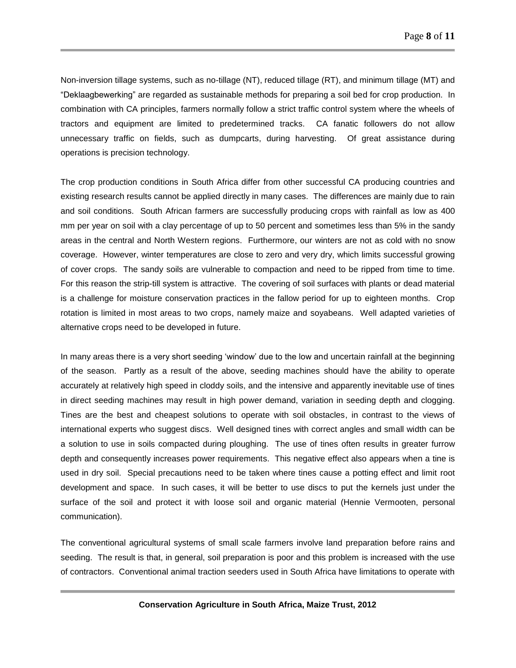Non-inversion tillage systems, such as no-tillage (NT), reduced tillage (RT), and minimum tillage (MT) and "Deklaagbewerking" are regarded as sustainable methods for preparing a soil bed for crop production. In combination with CA principles, farmers normally follow a strict traffic control system where the wheels of tractors and equipment are limited to predetermined tracks. CA fanatic followers do not allow unnecessary traffic on fields, such as dumpcarts, during harvesting. Of great assistance during operations is precision technology.

The crop production conditions in South Africa differ from other successful CA producing countries and existing research results cannot be applied directly in many cases. The differences are mainly due to rain and soil conditions. South African farmers are successfully producing crops with rainfall as low as 400 mm per year on soil with a clay percentage of up to 50 percent and sometimes less than 5% in the sandy areas in the central and North Western regions. Furthermore, our winters are not as cold with no snow coverage. However, winter temperatures are close to zero and very dry, which limits successful growing of cover crops. The sandy soils are vulnerable to compaction and need to be ripped from time to time. For this reason the strip-till system is attractive. The covering of soil surfaces with plants or dead material is a challenge for moisture conservation practices in the fallow period for up to eighteen months. Crop rotation is limited in most areas to two crops, namely maize and soyabeans. Well adapted varieties of alternative crops need to be developed in future.

In many areas there is a very short seeding 'window' due to the low and uncertain rainfall at the beginning of the season. Partly as a result of the above, seeding machines should have the ability to operate accurately at relatively high speed in cloddy soils, and the intensive and apparently inevitable use of tines in direct seeding machines may result in high power demand, variation in seeding depth and clogging. Tines are the best and cheapest solutions to operate with soil obstacles, in contrast to the views of international experts who suggest discs. Well designed tines with correct angles and small width can be a solution to use in soils compacted during ploughing. The use of tines often results in greater furrow depth and consequently increases power requirements. This negative effect also appears when a tine is used in dry soil. Special precautions need to be taken where tines cause a potting effect and limit root development and space. In such cases, it will be better to use discs to put the kernels just under the surface of the soil and protect it with loose soil and organic material (Hennie Vermooten, personal communication).

The conventional agricultural systems of small scale farmers involve land preparation before rains and seeding. The result is that, in general, soil preparation is poor and this problem is increased with the use of contractors. Conventional animal traction seeders used in South Africa have limitations to operate with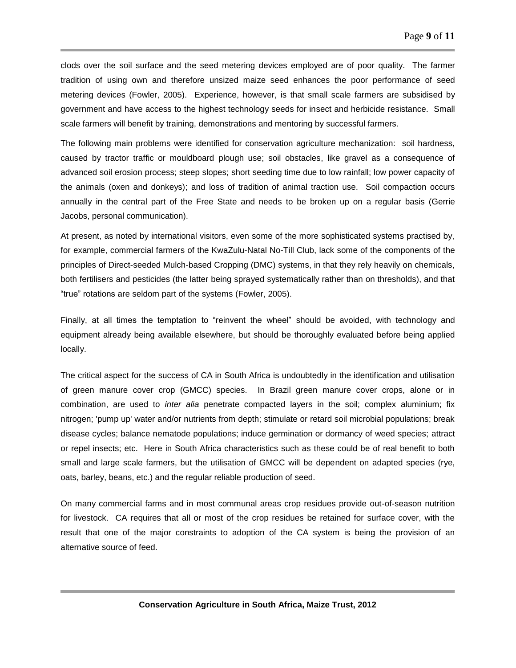clods over the soil surface and the seed metering devices employed are of poor quality. The farmer tradition of using own and therefore unsized maize seed enhances the poor performance of seed metering devices (Fowler, 2005). Experience, however, is that small scale farmers are subsidised by government and have access to the highest technology seeds for insect and herbicide resistance. Small scale farmers will benefit by training, demonstrations and mentoring by successful farmers.

The following main problems were identified for conservation agriculture mechanization: soil hardness, caused by tractor traffic or mouldboard plough use; soil obstacles, like gravel as a consequence of advanced soil erosion process; steep slopes; short seeding time due to low rainfall; low power capacity of the animals (oxen and donkeys); and loss of tradition of animal traction use. Soil compaction occurs annually in the central part of the Free State and needs to be broken up on a regular basis (Gerrie Jacobs, personal communication).

At present, as noted by international visitors, even some of the more sophisticated systems practised by, for example, commercial farmers of the KwaZulu-Natal No-Till Club, lack some of the components of the principles of Direct-seeded Mulch-based Cropping (DMC) systems, in that they rely heavily on chemicals, both fertilisers and pesticides (the latter being sprayed systematically rather than on thresholds), and that "true" rotations are seldom part of the systems (Fowler, 2005).

Finally, at all times the temptation to "reinvent the wheel" should be avoided, with technology and equipment already being available elsewhere, but should be thoroughly evaluated before being applied locally.

The critical aspect for the success of CA in South Africa is undoubtedly in the identification and utilisation of green manure cover crop (GMCC) species. In Brazil green manure cover crops, alone or in combination, are used to *inter alia* penetrate compacted layers in the soil; complex aluminium; fix nitrogen; 'pump up' water and/or nutrients from depth; stimulate or retard soil microbial populations; break disease cycles; balance nematode populations; induce germination or dormancy of weed species; attract or repel insects; etc. Here in South Africa characteristics such as these could be of real benefit to both small and large scale farmers, but the utilisation of GMCC will be dependent on adapted species (rye, oats, barley, beans, etc.) and the regular reliable production of seed.

On many commercial farms and in most communal areas crop residues provide out-of-season nutrition for livestock. CA requires that all or most of the crop residues be retained for surface cover, with the result that one of the major constraints to adoption of the CA system is being the provision of an alternative source of feed.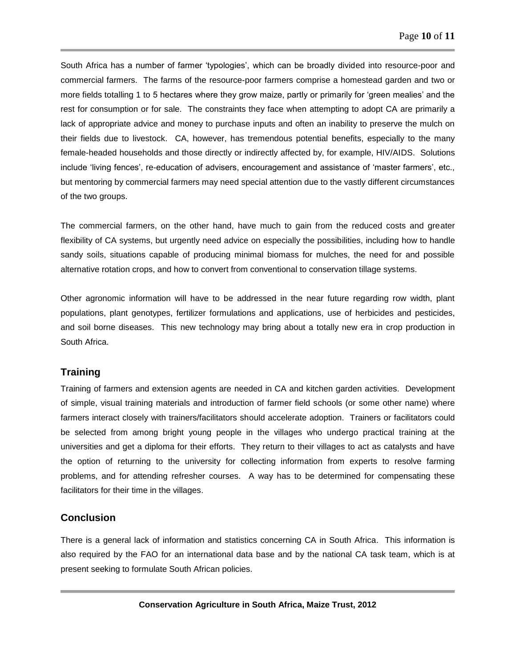South Africa has a number of farmer 'typologies', which can be broadly divided into resource-poor and commercial farmers. The farms of the resource-poor farmers comprise a homestead garden and two or more fields totalling 1 to 5 hectares where they grow maize, partly or primarily for 'green mealies' and the rest for consumption or for sale. The constraints they face when attempting to adopt CA are primarily a lack of appropriate advice and money to purchase inputs and often an inability to preserve the mulch on their fields due to livestock. CA, however, has tremendous potential benefits, especially to the many female-headed households and those directly or indirectly affected by, for example, HIV/AIDS. Solutions include 'living fences', re-education of advisers, encouragement and assistance of 'master farmers', etc., but mentoring by commercial farmers may need special attention due to the vastly different circumstances of the two groups.

The commercial farmers, on the other hand, have much to gain from the reduced costs and greater flexibility of CA systems, but urgently need advice on especially the possibilities, including how to handle sandy soils, situations capable of producing minimal biomass for mulches, the need for and possible alternative rotation crops, and how to convert from conventional to conservation tillage systems.

Other agronomic information will have to be addressed in the near future regarding row width, plant populations, plant genotypes, fertilizer formulations and applications, use of herbicides and pesticides, and soil borne diseases. This new technology may bring about a totally new era in crop production in South Africa.

### **Training**

Training of farmers and extension agents are needed in CA and kitchen garden activities. Development of simple, visual training materials and introduction of farmer field schools (or some other name) where farmers interact closely with trainers/facilitators should accelerate adoption. Trainers or facilitators could be selected from among bright young people in the villages who undergo practical training at the universities and get a diploma for their efforts. They return to their villages to act as catalysts and have the option of returning to the university for collecting information from experts to resolve farming problems, and for attending refresher courses. A way has to be determined for compensating these facilitators for their time in the villages.

## **Conclusion**

There is a general lack of information and statistics concerning CA in South Africa. This information is also required by the FAO for an international data base and by the national CA task team, which is at present seeking to formulate South African policies.